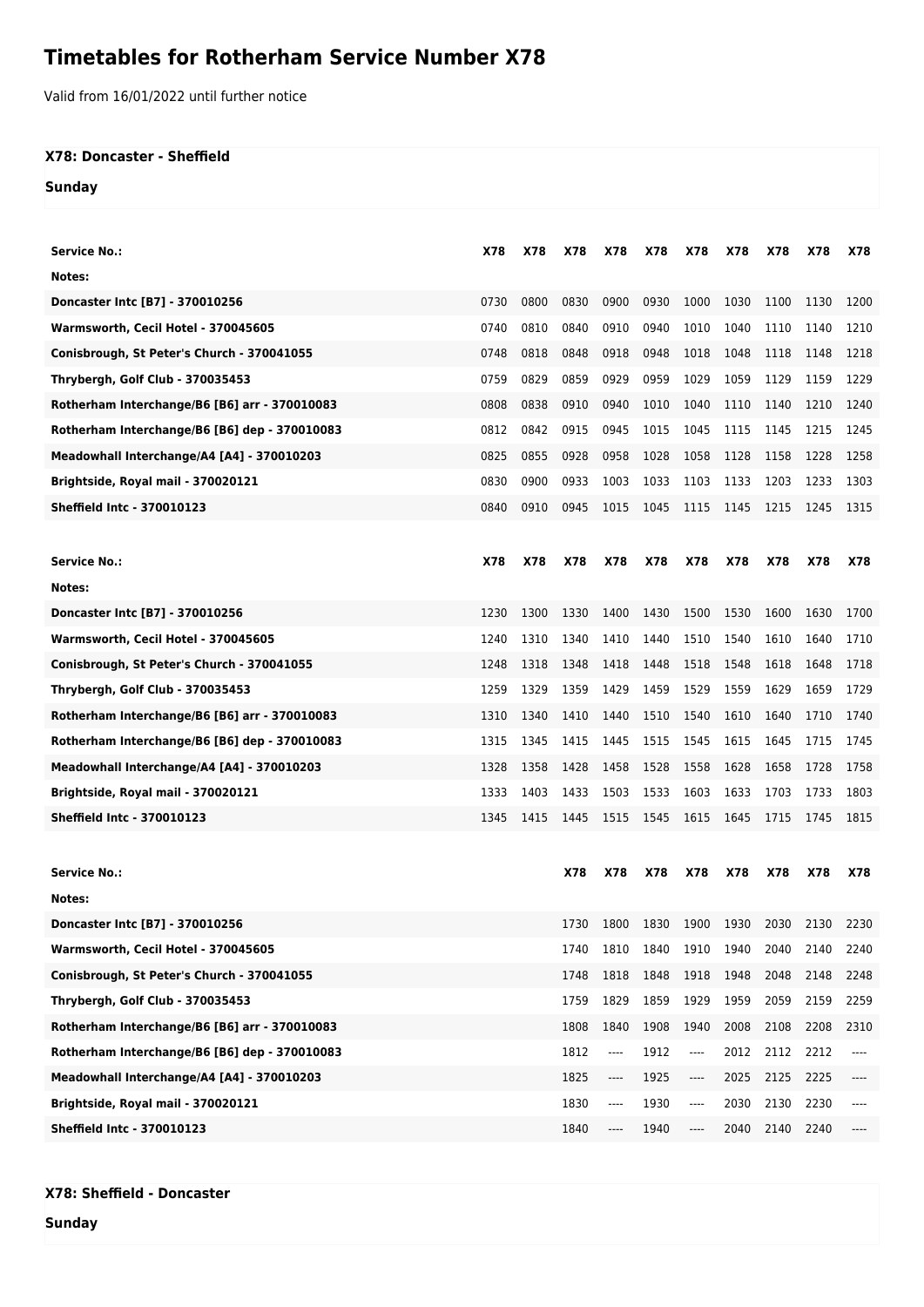## **Timetables for Rotherham Service Number X78**

Valid from 16/01/2022 until further notice

## **X78: Doncaster - Sheffield**

**Sunday**

| Service No.:                                  | X78  | X78  | X78  | X78  | X78  | X78                           | X78                           | X78  | X78  | X78  |
|-----------------------------------------------|------|------|------|------|------|-------------------------------|-------------------------------|------|------|------|
| Notes:                                        |      |      |      |      |      |                               |                               |      |      |      |
| Doncaster Intc [B7] - 370010256               | 0730 | 0800 | 0830 | 0900 | 0930 | 1000                          | 1030                          | 1100 | 1130 | 1200 |
| Warmsworth, Cecil Hotel - 370045605           | 0740 | 0810 | 0840 | 0910 | 0940 | 1010                          | 1040                          | 1110 | 1140 | 1210 |
| Conisbrough, St Peter's Church - 370041055    | 0748 | 0818 | 0848 | 0918 | 0948 | 1018                          | 1048                          | 1118 | 1148 | 1218 |
| Thrybergh, Golf Club - 370035453              | 0759 | 0829 | 0859 | 0929 | 0959 | 1029                          | 1059                          | 1129 | 1159 | 1229 |
| Rotherham Interchange/B6 [B6] arr - 370010083 | 0808 | 0838 | 0910 | 0940 | 1010 | 1040                          | 1110                          | 1140 | 1210 | 1240 |
| Rotherham Interchange/B6 [B6] dep - 370010083 | 0812 | 0842 | 0915 | 0945 | 1015 | 1045                          | 1115                          | 1145 | 1215 | 1245 |
| Meadowhall Interchange/A4 [A4] - 370010203    | 0825 | 0855 | 0928 | 0958 | 1028 | 1058                          | 1128                          | 1158 | 1228 | 1258 |
| Brightside, Royal mail - 370020121            | 0830 | 0900 | 0933 | 1003 | 1033 | 1103                          | 1133                          | 1203 | 1233 | 1303 |
| Sheffield Intc - 370010123                    | 0840 | 0910 | 0945 | 1015 | 1045 | 1115                          | 1145                          | 1215 | 1245 | 1315 |
|                                               |      |      |      |      |      |                               |                               |      |      |      |
| <b>Service No.:</b>                           | X78  | X78  | X78  | X78  | X78  | X78                           | X78                           | X78  | X78  | X78  |
| Notes:                                        |      |      |      |      |      |                               |                               |      |      |      |
| Doncaster Intc [B7] - 370010256               | 1230 | 1300 | 1330 | 1400 | 1430 | 1500                          | 1530                          | 1600 | 1630 | 1700 |
| Warmsworth, Cecil Hotel - 370045605           | 1240 | 1310 | 1340 | 1410 | 1440 | 1510                          | 1540                          | 1610 | 1640 | 1710 |
| Conisbrough, St Peter's Church - 370041055    | 1248 | 1318 | 1348 | 1418 | 1448 | 1518                          | 1548                          | 1618 | 1648 | 1718 |
| Thrybergh, Golf Club - 370035453              | 1259 | 1329 | 1359 | 1429 | 1459 | 1529                          | 1559                          | 1629 | 1659 | 1729 |
| Rotherham Interchange/B6 [B6] arr - 370010083 | 1310 | 1340 | 1410 | 1440 | 1510 | 1540                          | 1610                          | 1640 | 1710 | 1740 |
| Rotherham Interchange/B6 [B6] dep - 370010083 | 1315 | 1345 | 1415 | 1445 | 1515 | 1545                          | 1615                          | 1645 | 1715 | 1745 |
| Meadowhall Interchange/A4 [A4] - 370010203    | 1328 | 1358 | 1428 | 1458 | 1528 | 1558                          | 1628                          | 1658 | 1728 | 1758 |
| Brightside, Royal mail - 370020121            | 1333 | 1403 | 1433 | 1503 | 1533 | 1603                          | 1633                          | 1703 | 1733 | 1803 |
| Sheffield Intc - 370010123                    | 1345 | 1415 | 1445 | 1515 | 1545 | 1615                          | 1645                          | 1715 | 1745 | 1815 |
|                                               |      |      |      |      |      |                               |                               |      |      |      |
| <b>Service No.:</b>                           |      |      | X78  | X78  | X78  | X78                           | X78                           | X78  | X78  | X78  |
| Notes:                                        |      |      |      |      |      |                               |                               |      |      |      |
| Doncaster Intc 1B71 - 370010256               |      |      | 1730 |      |      |                               | 1800 1830 1900 1930 2030 2130 |      |      | 2230 |
| Warmsworth, Cecil Hotel - 370045605           |      |      | 1740 | 1810 | 1840 | 1910                          | 1940                          | 2040 | 2140 | 2240 |
| Conisbrough, St Peter's Church - 370041055    |      |      | 1748 | 1818 | 1848 | 1918                          | 1948                          | 2048 | 2148 | 2248 |
| Thrybergh, Golf Club - 370035453              |      |      | 1759 | 1829 | 1859 | 1929                          | 1959                          | 2059 | 2159 | 2259 |
| Rotherham Interchange/B6 [B6] arr - 370010083 |      |      | 1808 | 1840 | 1908 | 1940                          | 2008                          | 2108 | 2208 | 2310 |
| Rotherham Interchange/B6 [B6] dep - 370010083 |      |      | 1812 | ---- | 1912 | ----                          | 2012                          | 2112 | 2212 |      |
| Meadowhall Interchange/A4 [A4] - 370010203    |      |      | 1825 | ---- | 1925 | $\hspace{1.5cm} \textbf{---}$ | 2025                          | 2125 | 2225 | ---- |
| Brightside, Royal mail - 370020121            |      |      | 1830 | ---- | 1930 | ----                          | 2030                          | 2130 | 2230 |      |
| <b>Sheffield Intc - 370010123</b>             |      |      | 1840 | ---- | 1940 | $\cdots$                      | 2040                          | 2140 | 2240 |      |

**X78: Sheffield - Doncaster**

**Sunday**